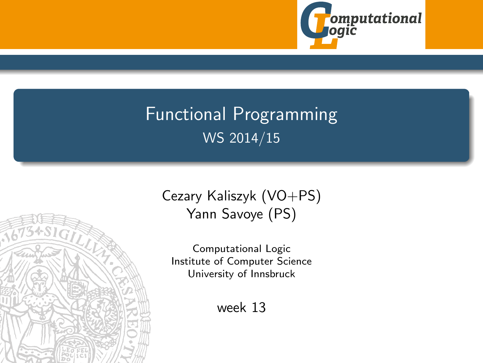

# <span id="page-0-0"></span>Functional Programming WS 2014/15



Computational Logic Institute of Computer Science University of Innsbruck

week 13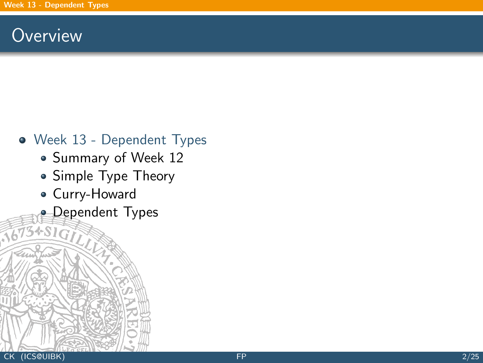### <span id="page-1-0"></span>**Overview**

- [Week 13 Dependent Types](#page-1-0)
	- [Summary of Week 12](#page-2-0)
	- [Simple Type Theory](#page-12-0)
	- [Curry-Howard](#page-18-0)
	- **[Dependent Types](#page-24-0)**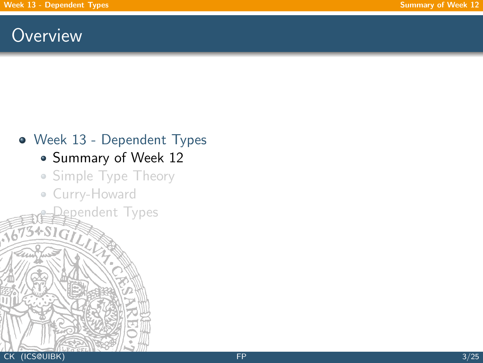### <span id="page-2-0"></span>**Overview**

# [Week 13 - Dependent Types](#page-1-0)

- [Summary of Week 12](#page-2-0)
- [Simple Type Theory](#page-12-0)

gpendent Types

[Curry-Howard](#page-18-0)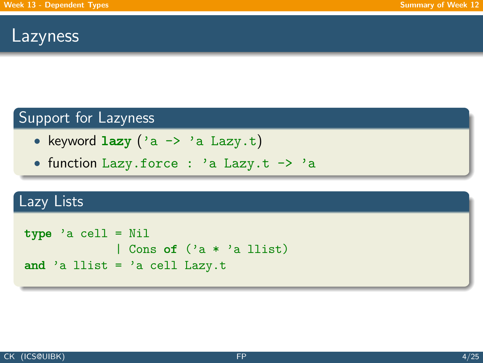### Lazyness

### Support for Lazyness

- keyword  $lazy('a \rightarrow 'a Lazy.t)$
- function Lazy.force : 'a Lazy.t -> 'a

### Lazy Lists

```
type 'a cell = Nil
             | Cons of ('a * 'a llist)
and 'a llist = 'a cell Lazy.t
```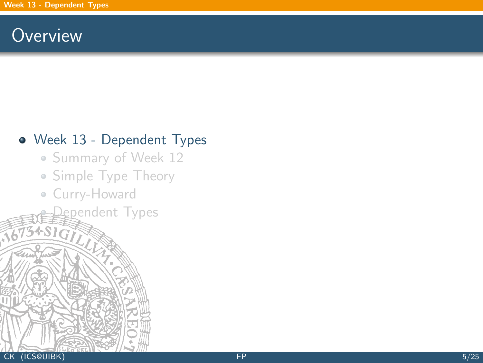### **Overview**

#### [Week 13 - Dependent Types](#page-1-0)

- [Summary of Week 12](#page-2-0)
- [Simple Type Theory](#page-12-0)

[Dependent Types](#page-24-0)

[Curry-Howard](#page-18-0)

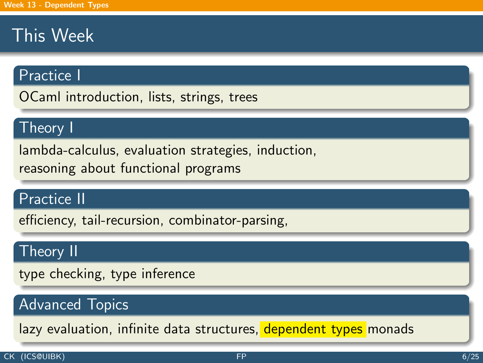# This Week

#### Practice I

OCaml introduction, lists, strings, trees

#### Theory I

lambda-calculus, evaluation strategies, induction, reasoning about functional programs

#### Practice II

efficiency, tail-recursion, combinator-parsing,

#### Theory II

type checking, type inference

### Advanced Topics

lazy evaluation, infinite data structures, dependent types monads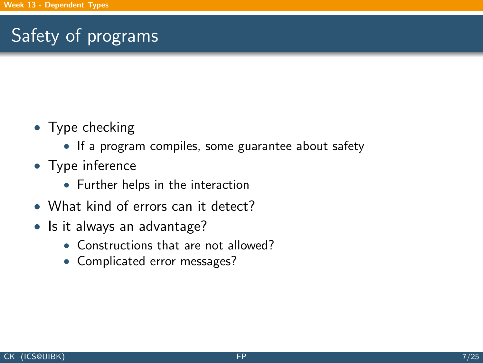# Safety of programs

- Type checking
	- If a program compiles, some guarantee about safety
- Type inference
	- Further helps in the interaction
- What kind of errors can it detect?
- Is it always an advantage?
	- Constructions that are not allowed?
	- Complicated error messages?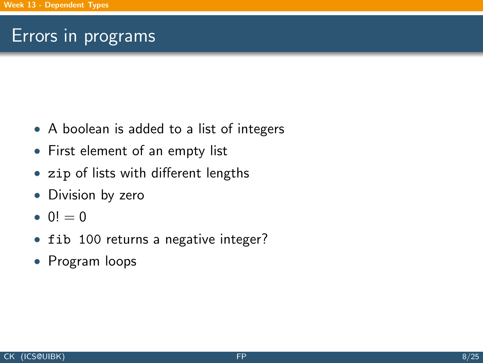## Errors in programs

- A boolean is added to a list of integers
- First element of an empty list
- zip of lists with different lengths
- Division by zero
- $0! = 0$
- fib 100 returns a negative integer?
- Program loops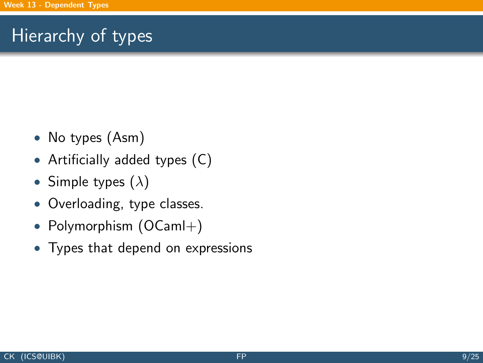# Hierarchy of types

- No types (Asm)
- Artificially added types (C)
- Simple types  $(\lambda)$
- Overloading, type classes.
- Polymorphism (OCaml+)
- Types that depend on expressions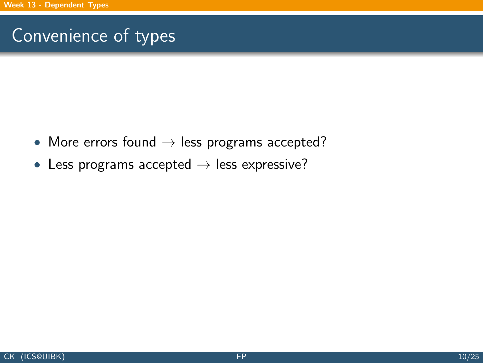# Convenience of types

- More errors found  $\rightarrow$  less programs accepted?
- Less programs accepted  $\rightarrow$  less expressive?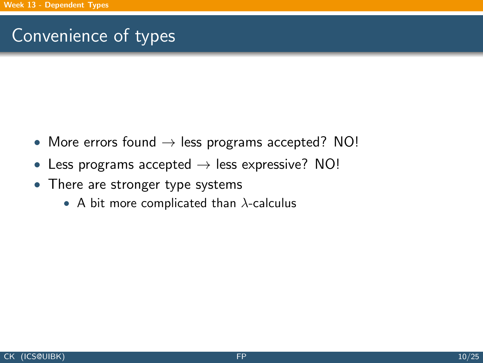# Convenience of types

- More errors found  $\rightarrow$  less programs accepted? NO!
- Less programs accepted  $\rightarrow$  less expressive? NO!
- There are stronger type systems
	- A bit more complicated than  $\lambda$ -calculus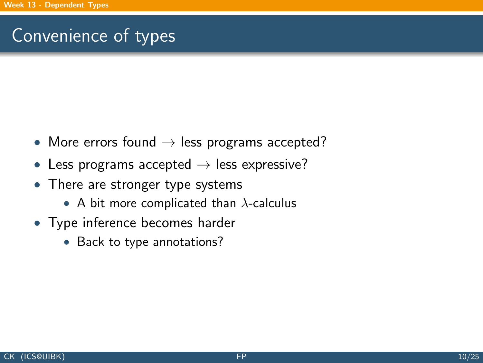# Convenience of types

- More errors found  $\rightarrow$  less programs accepted?
- Less programs accepted  $\rightarrow$  less expressive?
- There are stronger type systems
	- A bit more complicated than  $\lambda$ -calculus
- Type inference becomes harder
	- Back to type annotations?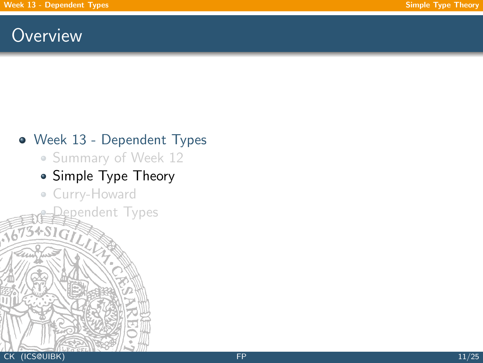### <span id="page-12-0"></span>**Overview**

#### [Week 13 - Dependent Types](#page-1-0)

• [Summary of Week 12](#page-2-0)

### • [Simple Type Theory](#page-12-0)

gpendent Types

[Curry-Howard](#page-18-0)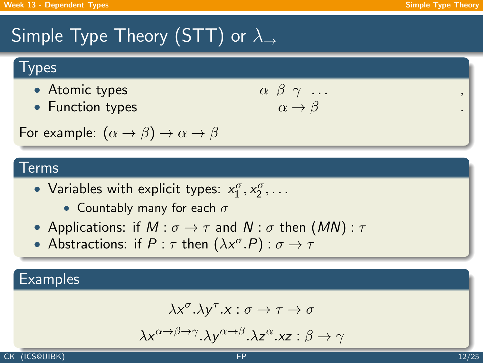# Simple Type Theory (STT) or  $\lambda_{\rightarrow}$

### **Types**

- Atomic types
- Function types

$$
\begin{array}{ccc}\n\alpha & \beta & \gamma & \dots \\
\alpha & \rightarrow & \beta\n\end{array}
$$

For example:  $(\alpha \rightarrow \beta) \rightarrow \alpha \rightarrow \beta$ 

#### Terms

- Variables with explicit types:  $x_1^{\sigma}, x_2^{\sigma}, \ldots$ 
	- Countably many for each  $\sigma$
- Applications: if  $M : \sigma \to \tau$  and  $N : \sigma$  then  $(MN) : \tau$
- Abstractions: if  $P : \tau$  then  $(\lambda x^{\sigma}.P) : \sigma \rightarrow \tau$

#### **Examples**

$$
\lambda x^{\sigma}.\lambda y^{\tau}.x:\sigma\to\tau\to\sigma
$$

$$
\lambda x^{\alpha \to \beta \to \gamma}.\lambda y^{\alpha \to \beta}.\lambda z^{\alpha}.xz : \beta \to \gamma
$$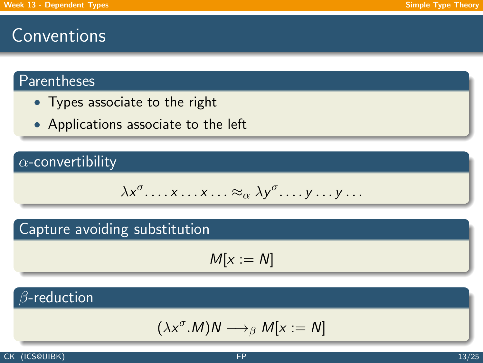## **Conventions**

#### Parentheses

- Types associate to the right
- Applications associate to the left

#### $\alpha$ -convertibility

$$
\lambda x^{\sigma} \dots x \dots x \dots \approx_{\alpha} \lambda y^{\sigma} \dots y \dots y \dots
$$

#### Capture avoiding substitution

$$
M[x:=N]
$$

### $\beta$ -reduction

$$
(\lambda x^{\sigma}.M)N \longrightarrow_{\beta} M[x := N]
$$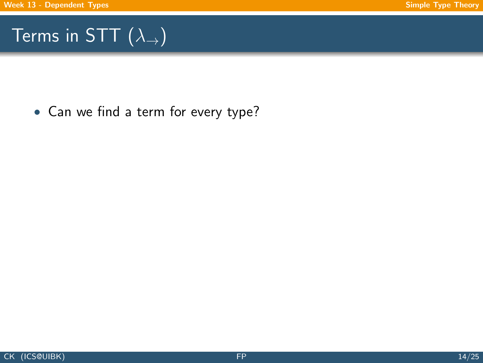# Terms in STT  $(\lambda_{\rightarrow})$

• Can we find a term for every type?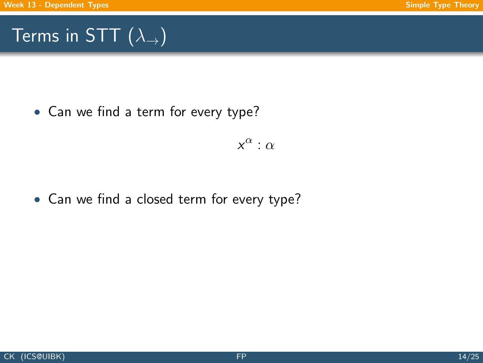# Terms in STT  $(\lambda_{\rightarrow})$

• Can we find a term for every type?

 $x^{\alpha}$  :  $\alpha$ 

• Can we find a closed term for every type?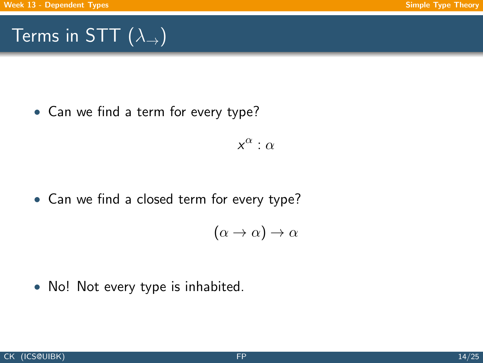# Terms in STT  $(\lambda_{\rightarrow})$

• Can we find a term for every type?

 $x^{\alpha}$  :  $\alpha$ 

• Can we find a closed term for every type?

$$
(\alpha \to \alpha) \to \alpha
$$

• No! Not every type is inhabited.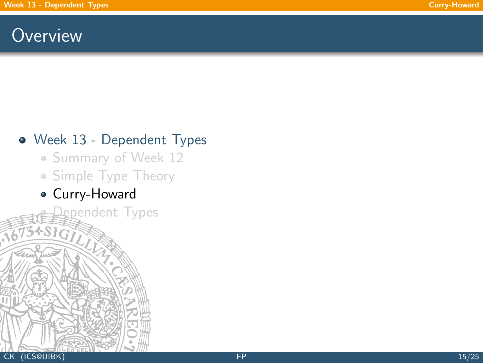## <span id="page-18-0"></span>**Overview**

### [Week 13 - Dependent Types](#page-1-0)

- [Summary of Week 12](#page-2-0)
- [Simple Type Theory](#page-12-0)
- [Curry-Howard](#page-18-0)

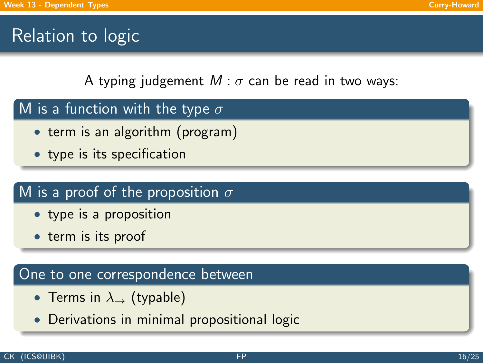# Relation to logic

A typing judgement  $M$  :  $\sigma$  can be read in two ways:

- M is a function with the type  $\sigma$ 
	- term is an algorithm (program)
	- type is its specification

### M is a proof of the proposition  $\sigma$

- type is a proposition
- term is its proof

#### One to one correspondence between

- Terms in  $\lambda_{\rightarrow}$  (typable)
- Derivations in minimal propositional logic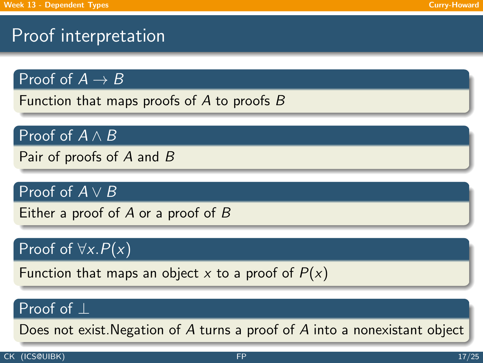# Proof interpretation

Proof of  $A \rightarrow B$ 

Function that maps proofs of  $A$  to proofs  $B$ 

Proof of  $A \wedge B$ 

Pair of proofs of A and B

Proof of  $A \vee B$ 

Either a proof of  $A$  or a proof of  $B$ 

### Proof of  $\forall x.P(x)$

Function that maps an object x to a proof of  $P(x)$ 

#### Proof of ⊥

Does not exist.Negation of A turns a proof of A into a nonexistant object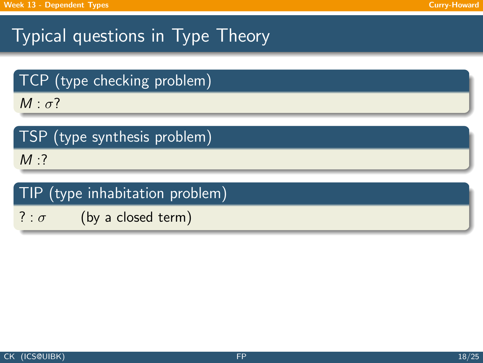# Typical questions in Type Theory

TCP (type checking problem)

 $M : \sigma$ ?

|  |  | TSP (type synthesis problem) |  |  |
|--|--|------------------------------|--|--|
|--|--|------------------------------|--|--|

 $M:?$ 

### TIP (type inhabitation problem)

 $? : \sigma$  (by a closed term)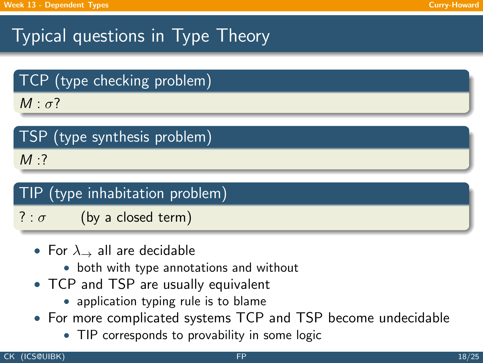# Typical questions in Type Theory

TCP (type checking problem)

 $M : \sigma$ ?

|  | TSP (type synthesis problem) |  |
|--|------------------------------|--|
|  |                              |  |

 $M:$ 

### TIP (type inhabitation problem)

? :  $\sigma$  (by a closed term)

- For  $\lambda_{\rightarrow}$  all are decidable
	- both with type annotations and without
- TCP and TSP are usually equivalent
	- application typing rule is to blame
- For more complicated systems TCP and TSP become undecidable
	- TIP corresponds to provability in some logic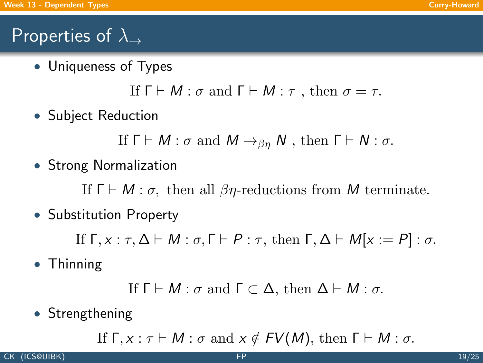# Properties of  $\lambda_{\rightarrow}$

• Uniqueness of Types

If  $\Gamma \vdash M : \sigma$  and  $\Gamma \vdash M : \tau$ , then  $\sigma = \tau$ .

• Subject Reduction

If  $\Gamma \vdash M : \sigma$  and  $M \rightarrow_{\beta n} N$ , then  $\Gamma \vdash N : \sigma$ .

• Strong Normalization

If  $\Gamma \vdash M : \sigma$ , then all  $\beta \eta$ -reductions from M terminate.

• Substitution Property

If  $\Gamma, x : \tau, \Delta \vdash M : \sigma, \Gamma \vdash P : \tau$ , then  $\Gamma, \Delta \vdash M[x := P] : \sigma$ .

• Thinning

```
If \Gamma \vdash M : \sigma and \Gamma \subset \Delta, then \Delta \vdash M : \sigma.
```
• Strengthening

If  $\Gamma, x : \tau \vdash M : \sigma$  and  $x \notin FV(M)$ , then  $\Gamma \vdash M : \sigma$ .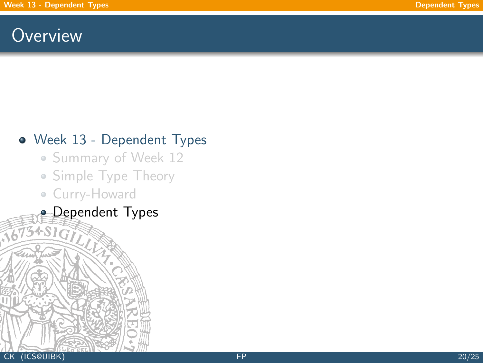## <span id="page-24-0"></span>**Overview**

### [Week 13 - Dependent Types](#page-1-0)

- [Summary of Week 12](#page-2-0)
- [Simple Type Theory](#page-12-0)
- [Curry-Howard](#page-18-0)
- **[Dependent Types](#page-24-0)**  $3+51$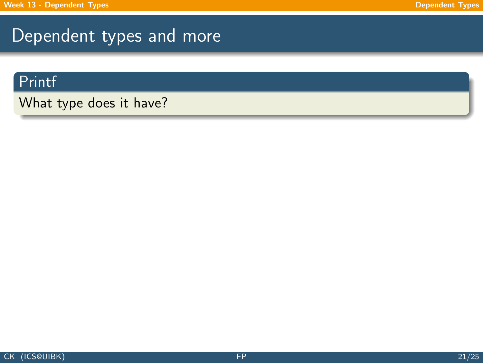### Dependent types and more

#### Printf

What type does it have?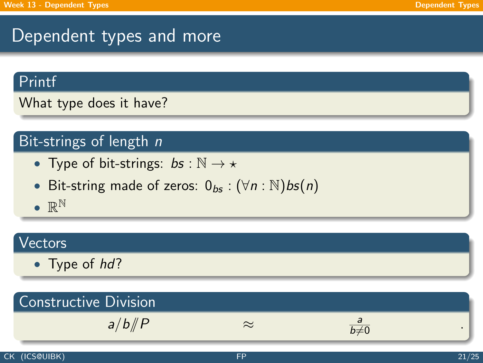## Dependent types and more

#### Printf

What type does it have?

#### Bit-strings of length n

- Type of bit-strings:  $bs : \mathbb{N} \to \star$
- Bit-string made of zeros:  $0_{bs}$  :  $(\forall n : \mathbb{N})$ bs $(n)$
- $\bullet \mathbb{R}^{\mathbb{N}}$

#### Vectors

• Type of hd?

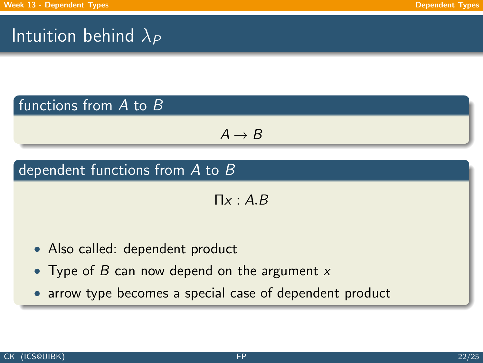# Intuition behind  $\lambda_P$

#### functions from A to B

$$
\textit{A} \rightarrow \textit{B}
$$

### dependent functions from A to B

 $\Pi x : A.B$ 

- Also called: dependent product
- Type of B can now depend on the argument  $x$
- arrow type becomes a special case of dependent product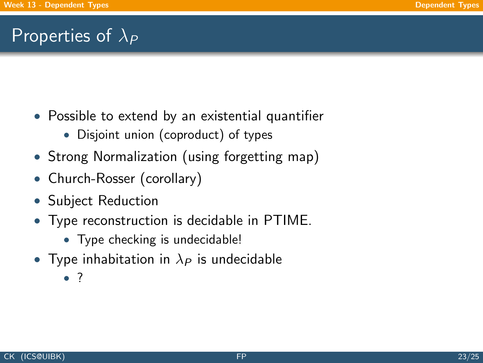## Properties of  $\lambda_P$

- Possible to extend by an existential quantifier
	- Disjoint union (coproduct) of types
- Strong Normalization (using forgetting map)
- Church-Rosser (corollary)
- Subject Reduction
- Type reconstruction is decidable in PTIME.
	- Type checking is undecidable!
- Type inhabitation in  $\lambda_P$  is undecidable
	- ?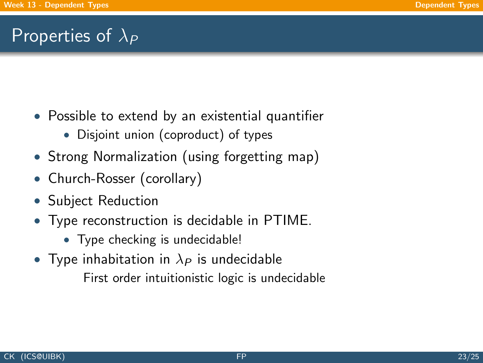## Properties of  $\lambda_P$

- Possible to extend by an existential quantifier
	- Disjoint union (coproduct) of types
- Strong Normalization (using forgetting map)
- Church-Rosser (corollary)
- Subject Reduction
- Type reconstruction is decidable in PTIME.
	- Type checking is undecidable!
- Type inhabitation in  $\lambda_P$  is undecidable

First order intuitionistic logic is undecidable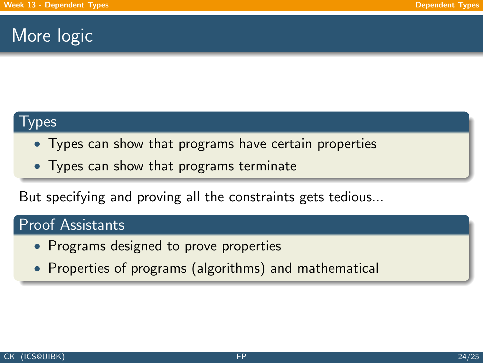### More logic

#### Types

- Types can show that programs have certain properties
- Types can show that programs terminate

But specifying and proving all the constraints gets tedious...

#### Proof Assistants

- Programs designed to prove properties
- Properties of programs (algorithms) and mathematical